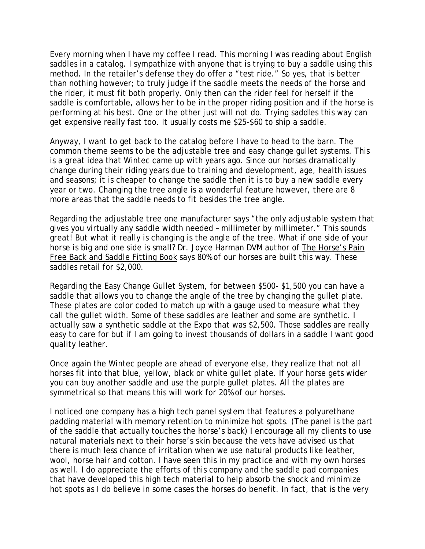Every morning when I have my coffee I read. This morning I was reading about English saddles in a catalog. I sympathize with anyone that is trying to buy a saddle using this method. In the retailer's defense they do offer a "test ride." So yes, that is better than nothing however; to truly judge if the saddle meets the needs of the horse and the rider, it must fit both properly. Only then can the rider feel for herself if the saddle is comfortable, allows her to be in the proper riding position and if the horse is performing at his best. One or the other just will not do. Trying saddles this way can get expensive really fast too. It usually costs me \$25-\$60 to ship a saddle.

Anyway, I want to get back to the catalog before I have to head to the barn. The common theme seems to be the adjustable tree and easy change gullet systems. This is a great idea that Wintec came up with years ago. Since our horses dramatically change during their riding years due to training and development, age, health issues and seasons; it is cheaper to change the saddle then it is to buy a new saddle every year or two. Changing the tree angle is a wonderful feature however, there are 8 more areas that the saddle needs to fit besides the tree angle.

Regarding the adjustable tree one manufacturer says "the only adjustable system that gives you virtually any saddle width needed – millimeter by millimeter." This sounds great! But what it really is changing is the angle of the tree. What if one side of your horse is big and one side is small? Dr. Joyce Harman DVM author of The Horse's Pain Free Back and Saddle Fitting Book says 80% of our horses are built this way. These saddles retail for \$2,000.

Regarding the Easy Change Gullet System, for between \$500- \$1,500 you can have a saddle that allows you to change the angle of the tree by changing the gullet plate. These plates are color coded to match up with a gauge used to measure what they call the gullet width. Some of these saddles are leather and some are synthetic. I actually saw a synthetic saddle at the Expo that was \$2,500. Those saddles are really easy to care for but if I am going to invest thousands of dollars in a saddle I want good quality leather.

Once again the Wintec people are ahead of everyone else, they realize that not all horses fit into that blue, yellow, black or white gullet plate. If your horse gets wider you can buy another saddle and use the purple gullet plates. All the plates are symmetrical so that means this will work for 20% of our horses.

I noticed one company has a high tech panel system that features a polyurethane padding material with memory retention to minimize hot spots. (The panel is the part of the saddle that actually touches the horse's back) I encourage all my clients to use natural materials next to their horse's skin because the vets have advised us that there is much less chance of irritation when we use natural products like leather, wool, horse hair and cotton. I have seen this in my practice and with my own horses as well. I do appreciate the efforts of this company and the saddle pad companies that have developed this high tech material to help absorb the shock and minimize hot spots as I do believe in some cases the horses do benefit. In fact, that is the very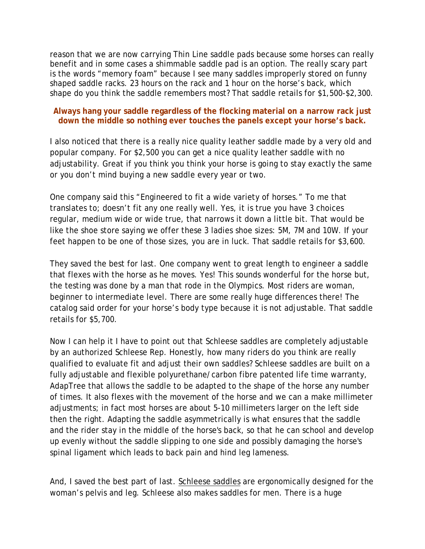reason that we are now carrying Thin Line saddle pads because some horses can really benefit and in some cases a shimmable saddle pad is an option. The really scary part is the words "memory foam" because I see many saddles improperly stored on funny shaped saddle racks. 23 hours on the rack and 1 hour on the horse's back, which shape do you think the saddle remembers most? That saddle retails for \$1,500-\$2,300.

## **Always hang your saddle regardless of the flocking material on a narrow rack just down the middle so nothing ever touches the panels except your horse's back.**

I also noticed that there is a really nice quality leather saddle made by a very old and popular company. For \$2,500 you can get a nice quality leather saddle with no adjustability. Great if you think you think your horse is going to stay exactly the same or you don't mind buying a new saddle every year or two.

One company said this "Engineered to fit a wide variety of horses." To me that translates to; doesn't fit any one really well. Yes, it is true you have 3 choices regular, medium wide or wide true, that narrows it down a little bit. That would be like the shoe store saying we offer these 3 ladies shoe sizes: 5M, 7M and 10W. If your feet happen to be one of those sizes, you are in luck. That saddle retails for \$3,600.

They saved the best for last. One company went to great length to engineer a saddle that flexes with the horse as he moves. Yes! This sounds wonderful for the horse but, the testing was done by a man that rode in the Olympics. Most riders are woman, beginner to intermediate level. There are some really huge differences there! The catalog said order for your horse's body type because it is not adjustable. That saddle retails for \$5,700.

Now I can help it I have to point out that Schleese saddles are completely adjustable by an authorized Schleese Rep. Honestly, how many riders do you think are really qualified to evaluate fit and adjust their own saddles? Schleese saddles are built on a fully adjustable and flexible polyurethane/carbon fibre patented life time warranty, AdapTree that allows the saddle to be adapted to the shape of the horse any number of times. It also flexes with the movement of the horse and we can a make millimeter adjustments; in fact most horses are about 5-10 millimeters larger on the left side then the right. Adapting the saddle asymmetrically is what ensures that the saddle and the rider stay in the middle of the horse's back, so that he can school and develop up evenly without the saddle slipping to one side and possibly damaging the horse's spinal ligament which leads to back pain and hind leg lameness.

And, I saved the best part of last. [Schleese saddles](http://bucknhorsehollow.com/schleese.cfm) are ergonomically designed for the woman's pelvis and leg. Schleese also makes saddles for men. There is a huge